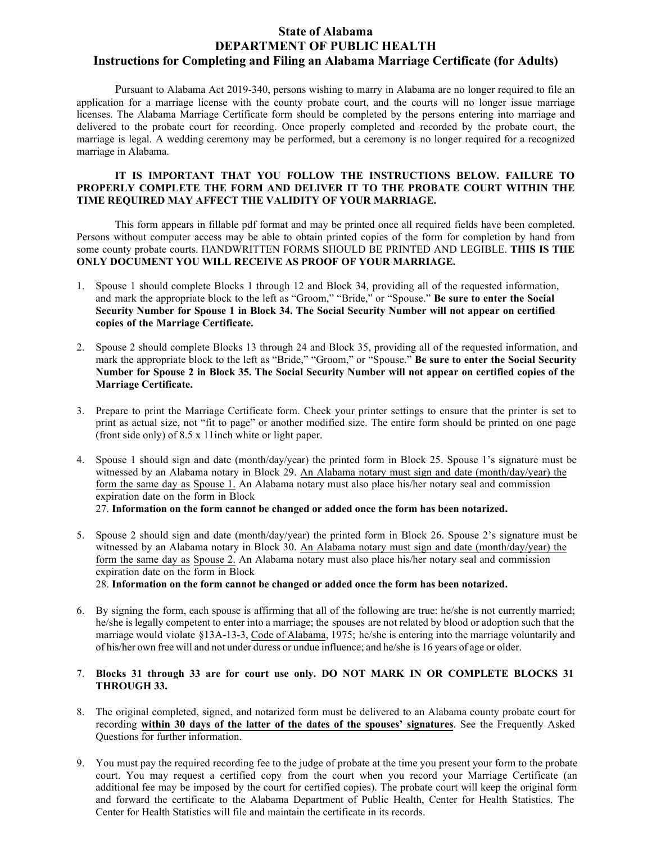## **State of Alabama DEPARTMENT OF PUBLIC HEALTH Instructions for Completing and Filing an Alabama Marriage Certificate (for Adults)**

Pursuant to Alabama Act 2019-340, persons wishing to marry in Alabama are no longer required to file an application for a marriage license with the county probate court, and the courts will no longer issue marriage licenses. The Alabama Marriage Certificate form should be completed by the persons entering into marriage and delivered to the probate court for recording. Once properly completed and recorded by the probate court, the marriage is legal. A wedding ceremony may be performed, but a ceremony is no longer required for a recognized marriage in Alabama.

#### **IT IS IMPORTANT THAT YOU FOLLOW THE INSTRUCTIONS BELOW. FAILURE TO PROPERLY COMPLETE THE FORM AND DELIVER IT TO THE PROBATE COURT WITHIN THE TIME REQUIRED MAY AFFECT THE VALIDITY OF YOUR MARRIAGE.**

This form appears in fillable pdf format and may be printed once all required fields have been completed. Persons without computer access may be able to obtain printed copies of the form for completion by hand from some county probate courts. HANDWRITTEN FORMS SHOULD BE PRINTED AND LEGIBLE. **THIS IS THE ONLY DOCUMENT YOU WILL RECEIVE AS PROOF OF YOUR MARRIAGE.**

- 1. Spouse 1 should complete Blocks 1 through 12 and Block 34, providing all of the requested information, and mark the appropriate block to the left as "Groom," "Bride," or "Spouse." **Be sure to enter the Social Security Number for Spouse 1 in Block 34. The Social Security Number will not appear on certified copies of the Marriage Certificate.**
- 2. Spouse 2 should complete Blocks 13 through 24 and Block 35, providing all of the requested information, and mark the appropriate block to the left as "Bride," "Groom," or "Spouse." **Be sure to enter the Social Security Number for Spouse 2 in Block 35. The Social Security Number will not appear on certified copies of the Marriage Certificate.**
- 3. Prepare to print the Marriage Certificate form. Check your printer settings to ensure that the printer is set to print as actual size, not "fit to page" or another modified size. The entire form should be printed on one page (front side only) of 8.5 x 11inch white or light paper.
- 4. Spouse 1 should sign and date (month/day/year) the printed form in Block 25. Spouse 1's signature must be witnessed by an Alabama notary in Block 29. An Alabama notary must sign and date (month/day/year) the form the same day as Spouse 1. An Alabama notary must also place his/her notary seal and commission expiration date on the form in Block

27. **Information on the form cannot be changed or added once the form has been notarized.**

5. Spouse 2 should sign and date (month/day/year) the printed form in Block 26. Spouse 2's signature must be witnessed by an Alabama notary in Block 30. An Alabama notary must sign and date (month/day/year) the form the same day as Spouse 2. An Alabama notary must also place his/her notary seal and commission expiration date on the form in Block

28. **Information on the form cannot be changed or added once the form has been notarized.**

6. By signing the form, each spouse is affirming that all of the following are true: he/she is not currently married; he/she is legally competent to enter into a marriage; the spouses are not related by blood or adoption such that the marriage would violate §13A-13-3, Code of Alabama, 1975; he/she is entering into the marriage voluntarily and of his/her own free will and not under duress or undue influence; and he/she is 16 years of age or older.

### 7. **Blocks 31 through 33 are for court use only. DO NOT MARK IN OR COMPLETE BLOCKS 31 THROUGH 33.**

- 8. The original completed, signed, and notarized form must be delivered to an Alabama county probate court for recording **within 30 days of the latter of the dates of the spouses' signatures**. See the Frequently Asked Questions for further information.
- 9. You must pay the required recording fee to the judge of probate at the time you present your form to the probate court. You may request a certified copy from the court when you record your Marriage Certificate (an additional fee may be imposed by the court for certified copies). The probate court will keep the original form and forward the certificate to the Alabama Department of Public Health, Center for Health Statistics. The Center for Health Statistics will file and maintain the certificate in its records.